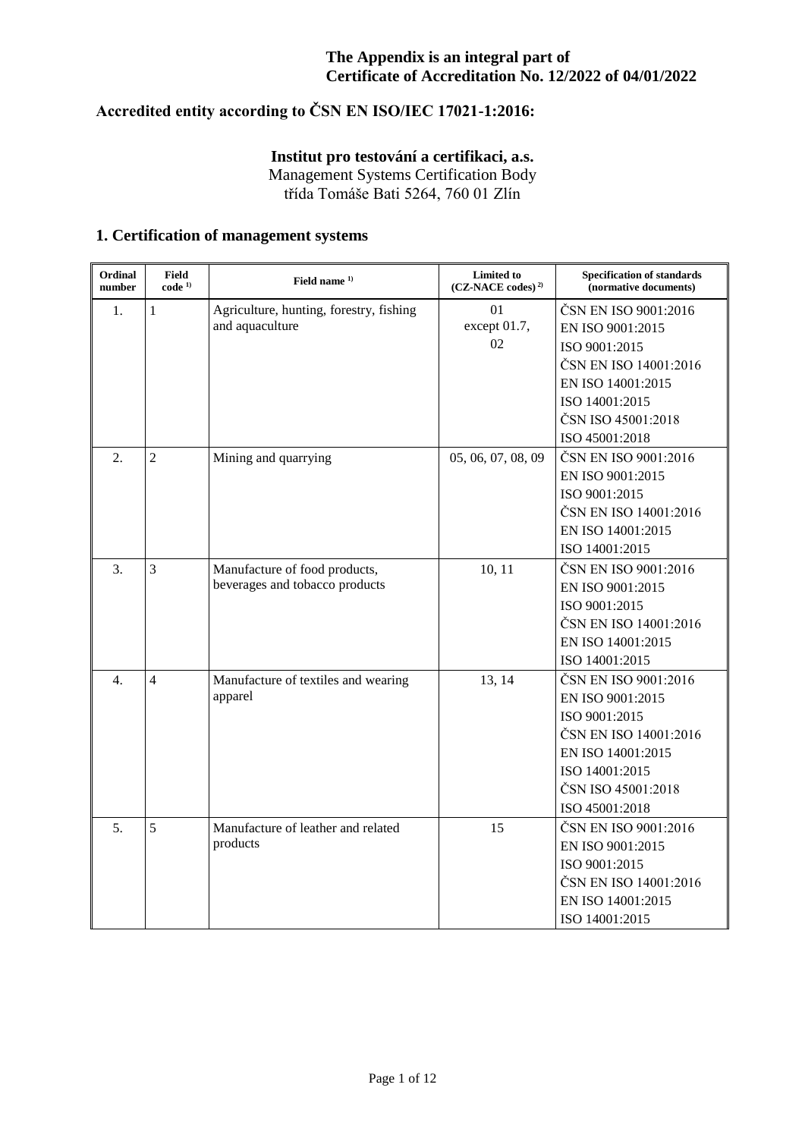**Institut pro testování a certifikaci, a.s.** Management Systems Certification Body třída Tomáše Bati 5264, 760 01 Zlín

## **1. Certification of management systems**

| Ordinal<br>number | <b>Field</b><br>$code^{1)}$ | Field name <sup>1)</sup>                                        | <b>Limited to</b><br>$(CZ-NACE codes)^{2}$ | <b>Specification of standards</b><br>(normative documents)                                                                                                        |
|-------------------|-----------------------------|-----------------------------------------------------------------|--------------------------------------------|-------------------------------------------------------------------------------------------------------------------------------------------------------------------|
| 1.                | $\mathbf{1}$                | Agriculture, hunting, forestry, fishing<br>and aquaculture      | 01<br>except 01.7,<br>02                   | ČSN EN ISO 9001:2016<br>EN ISO 9001:2015<br>ISO 9001:2015<br>ČSN EN ISO 14001:2016<br>EN ISO 14001:2015<br>ISO 14001:2015<br>ČSN ISO 45001:2018<br>ISO 45001:2018 |
| 2.5               | $\overline{2}$              | Mining and quarrying                                            | 05, 06, 07, 08, 09                         | ČSN EN ISO 9001:2016<br>EN ISO 9001:2015<br>ISO 9001:2015<br>ČSN EN ISO 14001:2016<br>EN ISO 14001:2015<br>ISO 14001:2015                                         |
| 3.                | 3                           | Manufacture of food products,<br>beverages and tobacco products | 10, 11                                     | ČSN EN ISO 9001:2016<br>EN ISO 9001:2015<br>ISO 9001:2015<br>ČSN EN ISO 14001:2016<br>EN ISO 14001:2015<br>ISO 14001:2015                                         |
| 4.                | $\overline{4}$              | Manufacture of textiles and wearing<br>apparel                  | 13, 14                                     | ČSN EN ISO 9001:2016<br>EN ISO 9001:2015<br>ISO 9001:2015<br>ČSN EN ISO 14001:2016<br>EN ISO 14001:2015<br>ISO 14001:2015<br>ČSN ISO 45001:2018<br>ISO 45001:2018 |
| 5.                | 5                           | Manufacture of leather and related<br>products                  | 15                                         | ČSN EN ISO 9001:2016<br>EN ISO 9001:2015<br>ISO 9001:2015<br>ČSN EN ISO 14001:2016<br>EN ISO 14001:2015<br>ISO 14001:2015                                         |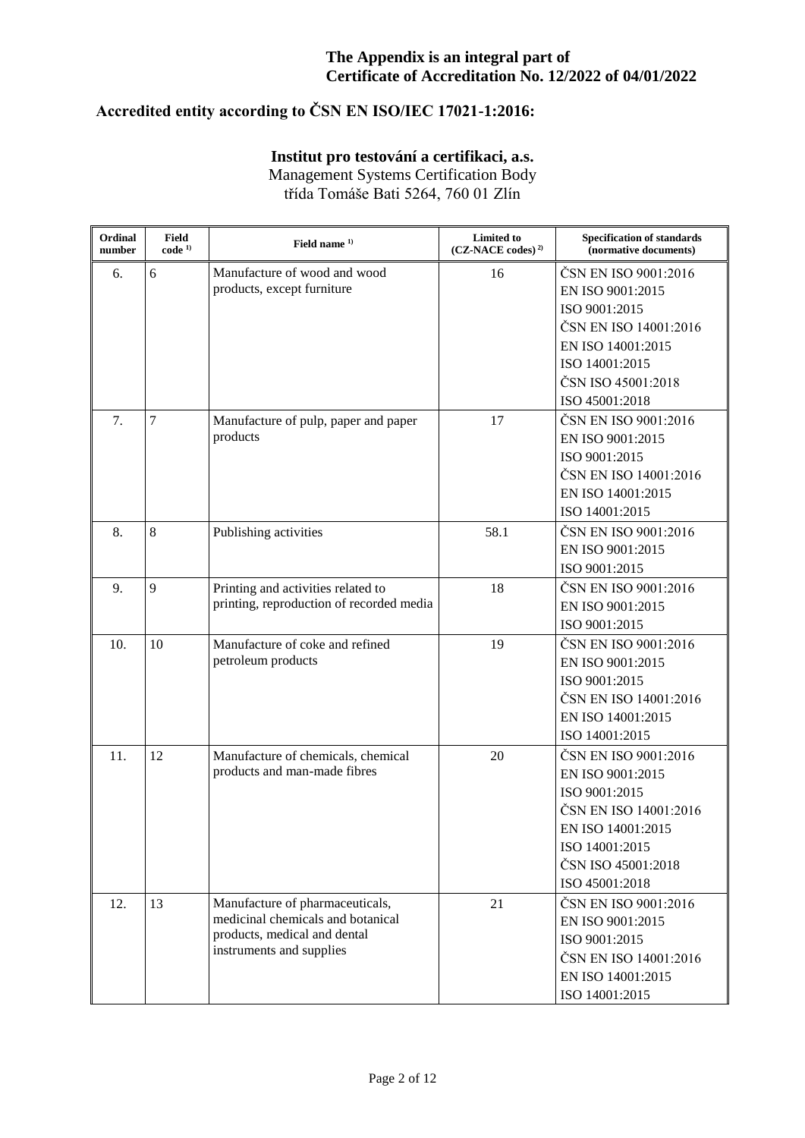# **Accredited entity according to ČSN EN ISO/IEC 17021-1:2016:**

| Ordinal<br>number | <b>Field</b><br>$code^{1}$ | Field name <sup>1)</sup>                                                                                                         | <b>Limited to</b><br>$(CZ-NACE codes)^{2}$ | <b>Specification of standards</b><br>(normative documents)                                                                                                        |  |
|-------------------|----------------------------|----------------------------------------------------------------------------------------------------------------------------------|--------------------------------------------|-------------------------------------------------------------------------------------------------------------------------------------------------------------------|--|
| 6.                | 6                          | Manufacture of wood and wood<br>products, except furniture                                                                       | 16                                         | ČSN EN ISO 9001:2016<br>EN ISO 9001:2015<br>ISO 9001:2015<br>ČSN EN ISO 14001:2016<br>EN ISO 14001:2015<br>ISO 14001:2015<br>ČSN ISO 45001:2018<br>ISO 45001:2018 |  |
| 7.                | 7                          | Manufacture of pulp, paper and paper<br>products                                                                                 | 17                                         | ČSN EN ISO 9001:2016<br>EN ISO 9001:2015<br>ISO 9001:2015<br>ČSN EN ISO 14001:2016<br>EN ISO 14001:2015<br>ISO 14001:2015                                         |  |
| 8.                | 8                          | Publishing activities                                                                                                            | 58.1                                       | ČSN EN ISO 9001:2016<br>EN ISO 9001:2015<br>ISO 9001:2015                                                                                                         |  |
| 9.                | 9                          | Printing and activities related to<br>printing, reproduction of recorded media                                                   | 18                                         | ČSN EN ISO 9001:2016<br>EN ISO 9001:2015<br>ISO 9001:2015                                                                                                         |  |
| 10.               | 10                         | Manufacture of coke and refined<br>petroleum products                                                                            | 19                                         | ČSN EN ISO 9001:2016<br>EN ISO 9001:2015<br>ISO 9001:2015<br>ČSN EN ISO 14001:2016<br>EN ISO 14001:2015<br>ISO 14001:2015                                         |  |
| 11.               | 12                         | Manufacture of chemicals, chemical<br>products and man-made fibres                                                               | 20                                         | ČSN EN ISO 9001:2016<br>EN ISO 9001:2015<br>ISO 9001:2015<br>ČSN EN ISO 14001:2016<br>EN ISO 14001:2015<br>ISO 14001:2015<br>ČSN ISO 45001:2018<br>ISO 45001:2018 |  |
| 12.               | 13                         | Manufacture of pharmaceuticals,<br>medicinal chemicals and botanical<br>products, medical and dental<br>instruments and supplies | 21                                         | ČSN EN ISO 9001:2016<br>EN ISO 9001:2015<br>ISO 9001:2015<br>ČSN EN ISO 14001:2016<br>EN ISO 14001:2015<br>ISO 14001:2015                                         |  |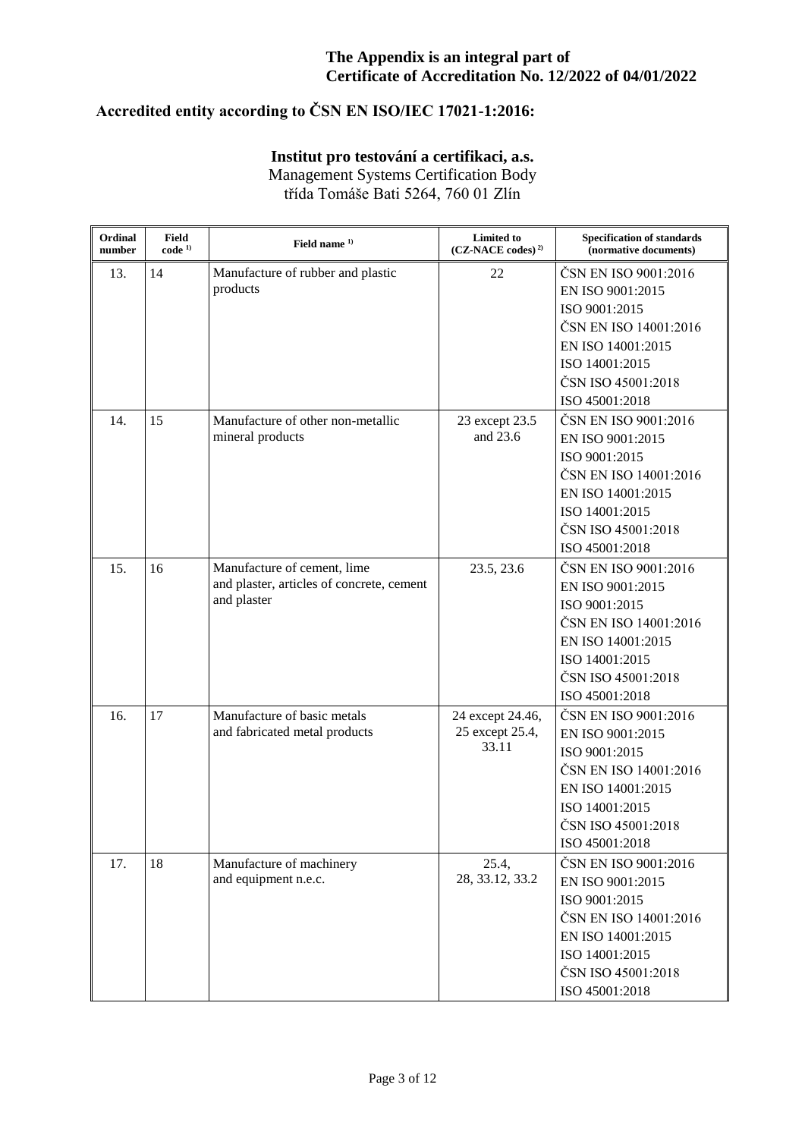# **Accredited entity according to ČSN EN ISO/IEC 17021-1:2016:**

| Ordinal<br>number | <b>Field</b><br>$code^{1)}$ | Field name <sup>1)</sup>                                                                | <b>Limited to</b><br>$(CZ-NACE codes)^{2}$   | <b>Specification of standards</b><br>(normative documents)                                                                                                        |
|-------------------|-----------------------------|-----------------------------------------------------------------------------------------|----------------------------------------------|-------------------------------------------------------------------------------------------------------------------------------------------------------------------|
| 13.               | 14                          | Manufacture of rubber and plastic<br>products                                           | 22                                           | ČSN EN ISO 9001:2016<br>EN ISO 9001:2015<br>ISO 9001:2015<br>ČSN EN ISO 14001:2016<br>EN ISO 14001:2015<br>ISO 14001:2015<br>ČSN ISO 45001:2018<br>ISO 45001:2018 |
| 14.               | 15                          | Manufacture of other non-metallic<br>mineral products                                   | 23 except 23.5<br>and 23.6                   | ČSN EN ISO 9001:2016<br>EN ISO 9001:2015<br>ISO 9001:2015<br>ČSN EN ISO 14001:2016<br>EN ISO 14001:2015<br>ISO 14001:2015<br>ČSN ISO 45001:2018<br>ISO 45001:2018 |
| 15.               | 16                          | Manufacture of cement, lime<br>and plaster, articles of concrete, cement<br>and plaster | 23.5, 23.6                                   | ČSN EN ISO 9001:2016<br>EN ISO 9001:2015<br>ISO 9001:2015<br>ČSN EN ISO 14001:2016<br>EN ISO 14001:2015<br>ISO 14001:2015<br>ČSN ISO 45001:2018<br>ISO 45001:2018 |
| 16.               | 17                          | Manufacture of basic metals<br>and fabricated metal products                            | 24 except 24.46,<br>25 except 25.4,<br>33.11 | ČSN EN ISO 9001:2016<br>EN ISO 9001:2015<br>ISO 9001:2015<br>ČSN EN ISO 14001:2016<br>EN ISO 14001:2015<br>ISO 14001:2015<br>ČSN ISO 45001:2018<br>ISO 45001:2018 |
| 17.               | 18                          | Manufacture of machinery<br>and equipment n.e.c.                                        | 25.4,<br>28, 33.12, 33.2                     | ČSN EN ISO 9001:2016<br>EN ISO 9001:2015<br>ISO 9001:2015<br>ČSN EN ISO 14001:2016<br>EN ISO 14001:2015<br>ISO 14001:2015<br>ČSN ISO 45001:2018<br>ISO 45001:2018 |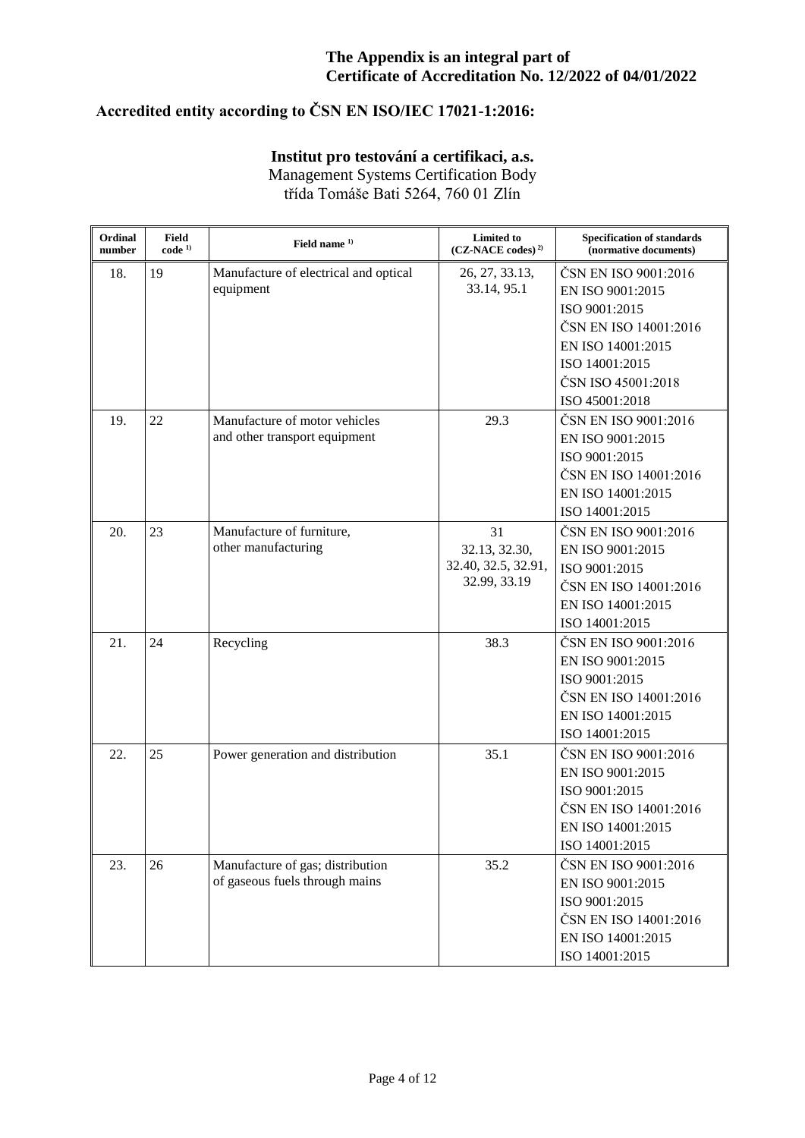# **Accredited entity according to ČSN EN ISO/IEC 17021-1:2016:**

| Ordinal<br>number | <b>Field</b><br>$code^{1}$ | Field name $1$                                                     | <b>Limited to</b><br>$(CZ-NACE codes)^{2}$                 | <b>Specification of standards</b><br>(normative documents)                                                                                                        |
|-------------------|----------------------------|--------------------------------------------------------------------|------------------------------------------------------------|-------------------------------------------------------------------------------------------------------------------------------------------------------------------|
| 18.               | 19                         | Manufacture of electrical and optical<br>equipment                 | 26, 27, 33.13,<br>33.14, 95.1                              | ČSN EN ISO 9001:2016<br>EN ISO 9001:2015<br>ISO 9001:2015<br>ČSN EN ISO 14001:2016<br>EN ISO 14001:2015<br>ISO 14001:2015<br>ČSN ISO 45001:2018<br>ISO 45001:2018 |
| 19.               | 22                         | Manufacture of motor vehicles<br>and other transport equipment     | 29.3                                                       | ČSN EN ISO 9001:2016<br>EN ISO 9001:2015<br>ISO 9001:2015<br>ČSN EN ISO 14001:2016<br>EN ISO 14001:2015<br>ISO 14001:2015                                         |
| 20.               | 23                         | Manufacture of furniture,<br>other manufacturing                   | 31<br>32.13, 32.30,<br>32.40, 32.5, 32.91,<br>32.99, 33.19 | ČSN EN ISO 9001:2016<br>EN ISO 9001:2015<br>ISO 9001:2015<br>ČSN EN ISO 14001:2016<br>EN ISO 14001:2015<br>ISO 14001:2015                                         |
| 21.               | 24                         | Recycling                                                          | 38.3                                                       | ČSN EN ISO 9001:2016<br>EN ISO 9001:2015<br>ISO 9001:2015<br>ČSN EN ISO 14001:2016<br>EN ISO 14001:2015<br>ISO 14001:2015                                         |
| 22.               | 25                         | Power generation and distribution                                  | 35.1                                                       | ČSN EN ISO 9001:2016<br>EN ISO 9001:2015<br>ISO 9001:2015<br>ČSN EN ISO 14001:2016<br>EN ISO 14001:2015<br>ISO 14001:2015                                         |
| 23.               | 26                         | Manufacture of gas; distribution<br>of gaseous fuels through mains | 35.2                                                       | ČSN EN ISO 9001:2016<br>EN ISO 9001:2015<br>ISO 9001:2015<br>ČSN EN ISO 14001:2016<br>EN ISO 14001:2015<br>ISO 14001:2015                                         |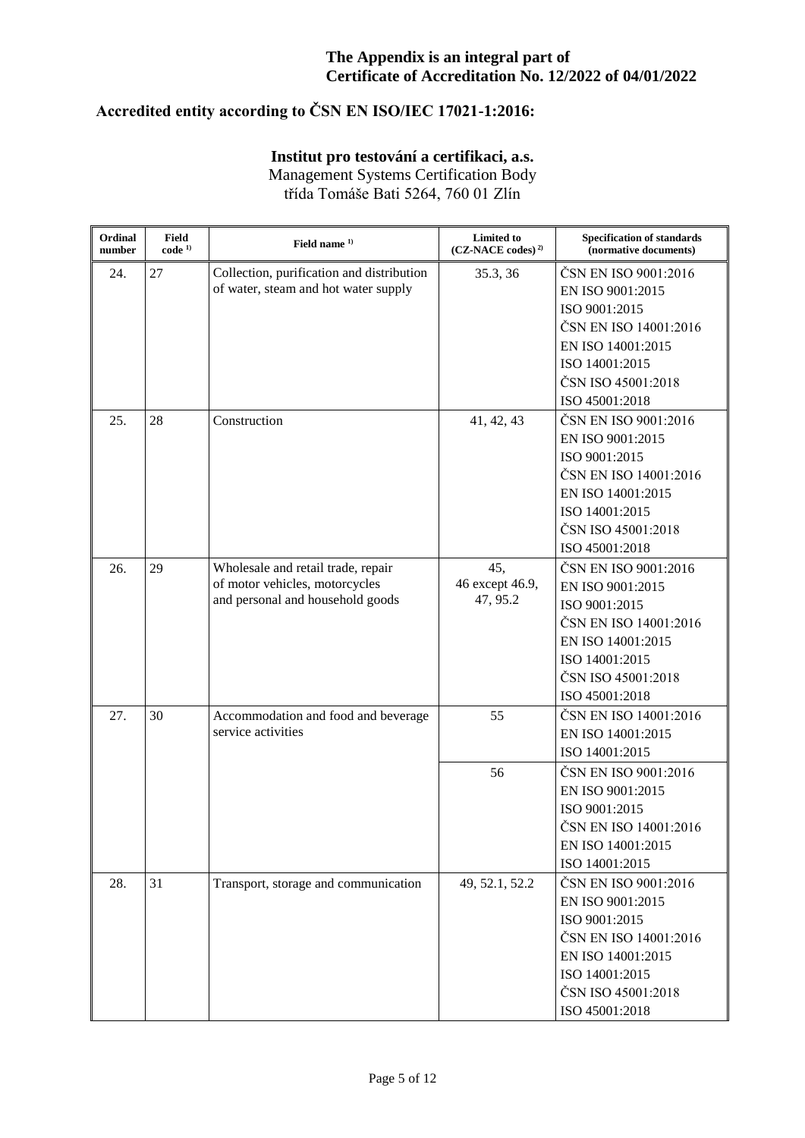# **Accredited entity according to ČSN EN ISO/IEC 17021-1:2016:**

| Ordinal<br>number | Field<br>$code^{1}$ | Field name <sup>1)</sup>                                                                                 | <b>Limited to</b><br>$(CZ-NACE codes)^{2}$ | <b>Specification of standards</b><br>(normative documents)                                                                                                                                |
|-------------------|---------------------|----------------------------------------------------------------------------------------------------------|--------------------------------------------|-------------------------------------------------------------------------------------------------------------------------------------------------------------------------------------------|
| 24.               | 27                  | Collection, purification and distribution<br>of water, steam and hot water supply                        | 35.3, 36                                   | ČSN EN ISO 9001:2016<br>EN ISO 9001:2015<br>ISO 9001:2015<br>ČSN EN ISO 14001:2016<br>EN ISO 14001:2015<br>ISO 14001:2015<br>ČSN ISO 45001:2018<br>ISO 45001:2018                         |
| 25.               | 28                  | Construction                                                                                             | 41, 42, 43                                 | ČSN EN ISO 9001:2016<br>EN ISO 9001:2015<br>ISO 9001:2015<br>ČSN EN ISO 14001:2016<br>EN ISO 14001:2015<br>ISO 14001:2015<br>ČSN ISO 45001:2018<br>ISO 45001:2018                         |
| 26.               | 29                  | Wholesale and retail trade, repair<br>of motor vehicles, motorcycles<br>and personal and household goods | 45,<br>46 except 46.9,<br>47, 95.2         | ČSN EN ISO 9001:2016<br>EN ISO 9001:2015<br>ISO 9001:2015<br>ČSN EN ISO 14001:2016<br>EN ISO 14001:2015<br>ISO 14001:2015<br>ČSN ISO 45001:2018<br>ISO 45001:2018                         |
| 27.               | 30                  | Accommodation and food and beverage<br>service activities                                                | 55<br>56                                   | ČSN EN ISO 14001:2016<br>EN ISO 14001:2015<br>ISO 14001:2015<br>ČSN EN ISO 9001:2016<br>EN ISO 9001:2015<br>ISO 9001:2015<br>ČSN EN ISO 14001:2016<br>EN ISO 14001:2015<br>ISO 14001:2015 |
| 28.               | 31                  | Transport, storage and communication                                                                     | 49, 52.1, 52.2                             | ČSN EN ISO 9001:2016<br>EN ISO 9001:2015<br>ISO 9001:2015<br>ČSN EN ISO 14001:2016<br>EN ISO 14001:2015<br>ISO 14001:2015<br>ČSN ISO 45001:2018<br>ISO 45001:2018                         |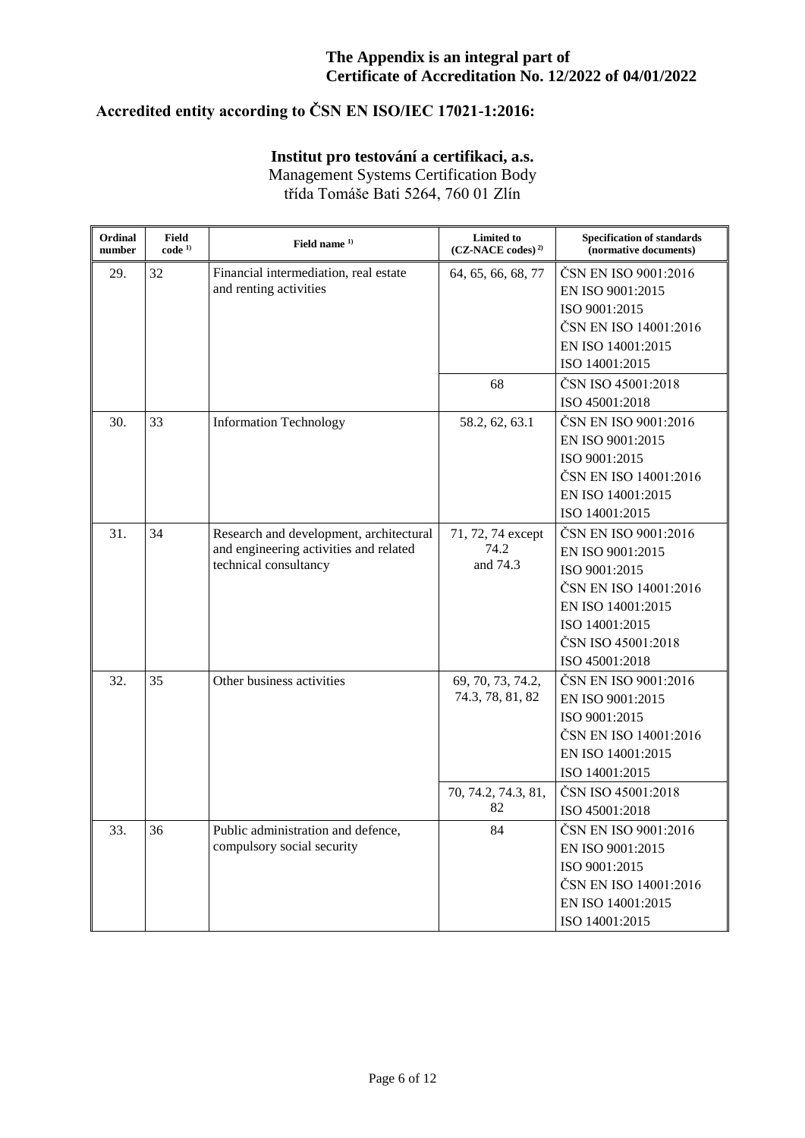# **Accredited entity according to ČSN EN ISO/IEC 17021-1:2016:**

| Ordinal<br>number | Field<br>$code^{1)}$ | Field name $1$                                                                                             | <b>Limited to</b><br>$(CZ-NACE codes)^{2)}$                  | <b>Specification of standards</b><br>(normative documents)                                                                                                        |
|-------------------|----------------------|------------------------------------------------------------------------------------------------------------|--------------------------------------------------------------|-------------------------------------------------------------------------------------------------------------------------------------------------------------------|
| 29.               | 32                   | Financial intermediation, real estate<br>and renting activities                                            | 64, 65, 66, 68, 77                                           | ČSN EN ISO 9001:2016<br>EN ISO 9001:2015<br>ISO 9001:2015<br>ČSN EN ISO 14001:2016<br>EN ISO 14001:2015<br>ISO 14001:2015                                         |
|                   |                      |                                                                                                            | 68                                                           | ČSN ISO 45001:2018<br>ISO 45001:2018                                                                                                                              |
| 30.               | 33                   | <b>Information Technology</b>                                                                              | 58.2, 62, 63.1                                               | ČSN EN ISO 9001:2016<br>EN ISO 9001:2015<br>ISO 9001:2015<br>ČSN EN ISO 14001:2016<br>EN ISO 14001:2015<br>ISO 14001:2015                                         |
| 31.               | 34                   | Research and development, architectural<br>and engineering activities and related<br>technical consultancy | 71, 72, 74 except<br>74.2<br>and 74.3                        | ČSN EN ISO 9001:2016<br>EN ISO 9001:2015<br>ISO 9001:2015<br>ČSN EN ISO 14001:2016<br>EN ISO 14001:2015<br>ISO 14001:2015<br>ČSN ISO 45001:2018<br>ISO 45001:2018 |
| 32.               | 35                   | Other business activities                                                                                  | 69, 70, 73, 74.2,<br>74.3, 78, 81, 82<br>70, 74.2, 74.3, 81, | ČSN EN ISO 9001:2016<br>EN ISO 9001:2015<br>ISO 9001:2015<br>ČSN EN ISO 14001:2016<br>EN ISO 14001:2015<br>ISO 14001:2015<br>ČSN ISO 45001:2018                   |
|                   |                      |                                                                                                            | 82                                                           | ISO 45001:2018                                                                                                                                                    |
| 33.               | 36                   | Public administration and defence,<br>compulsory social security                                           | 84                                                           | ČSN EN ISO 9001:2016<br>EN ISO 9001:2015<br>ISO 9001:2015<br>ČSN EN ISO 14001:2016<br>EN ISO 14001:2015<br>ISO 14001:2015                                         |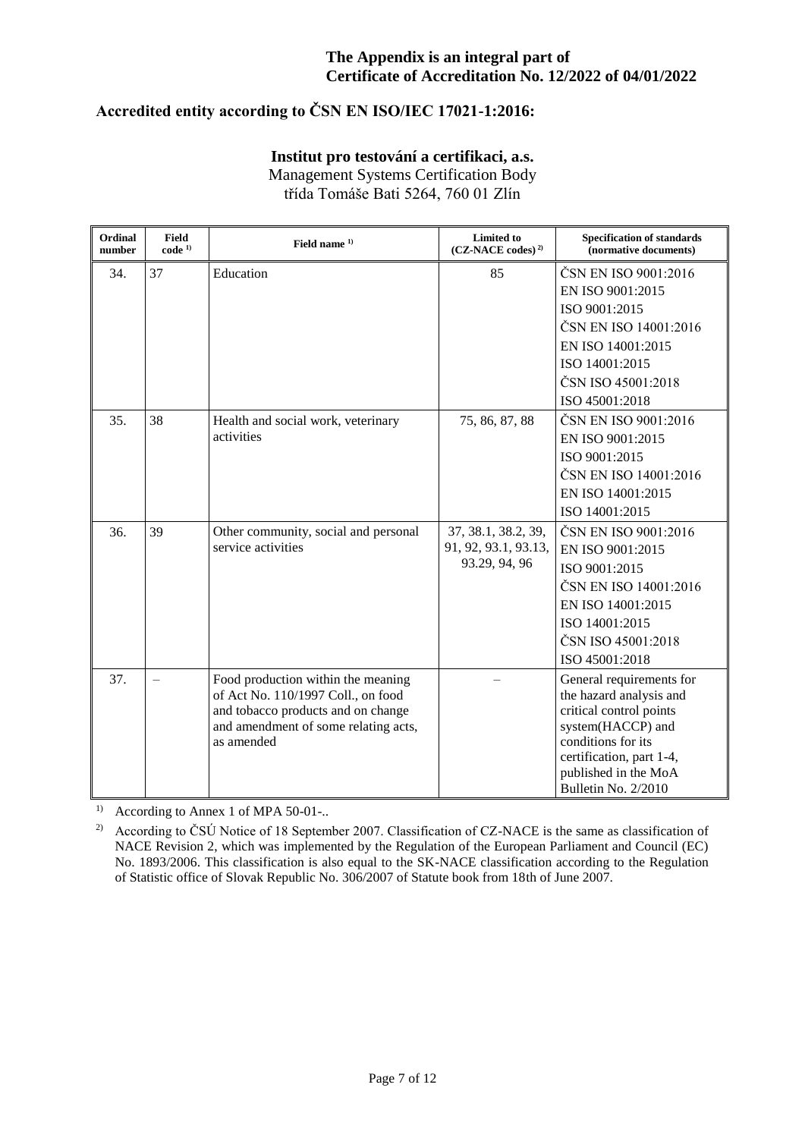## **Accredited entity according to ČSN EN ISO/IEC 17021-1:2016:**

#### **Institut pro testování a certifikaci, a.s.** Management Systems Certification Body třída Tomáše Bati 5264, 760 01 Zlín

| Ordinal<br>number | <b>Field</b><br>$code^{1)}$ | Field name <sup>1)</sup>                                                                                                                                             | <b>Limited to</b><br>$(CZ-NACE codes)^{2}$                   | <b>Specification of standards</b><br>(normative documents)                                                                                                                                           |
|-------------------|-----------------------------|----------------------------------------------------------------------------------------------------------------------------------------------------------------------|--------------------------------------------------------------|------------------------------------------------------------------------------------------------------------------------------------------------------------------------------------------------------|
| 34.               | 37                          | Education                                                                                                                                                            | 85                                                           | ČSN EN ISO 9001:2016<br>EN ISO 9001:2015<br>ISO 9001:2015<br>ČSN EN ISO 14001:2016<br>EN ISO 14001:2015<br>ISO 14001:2015<br>ČSN ISO 45001:2018                                                      |
| 35.               | 38                          | Health and social work, veterinary<br>activities                                                                                                                     | 75, 86, 87, 88                                               | ISO 45001:2018<br>ČSN EN ISO 9001:2016<br>EN ISO 9001:2015<br>ISO 9001:2015<br>ČSN EN ISO 14001:2016<br>EN ISO 14001:2015<br>ISO 14001:2015                                                          |
| 36.               | 39                          | Other community, social and personal<br>service activities                                                                                                           | 37, 38.1, 38.2, 39,<br>91, 92, 93.1, 93.13,<br>93.29, 94, 96 | ČSN EN ISO 9001:2016<br>EN ISO 9001:2015<br>ISO 9001:2015<br>ČSN EN ISO 14001:2016<br>EN ISO 14001:2015<br>ISO 14001:2015<br>ČSN ISO 45001:2018<br>ISO 45001:2018                                    |
| 37.               |                             | Food production within the meaning<br>of Act No. 110/1997 Coll., on food<br>and tobacco products and on change<br>and amendment of some relating acts,<br>as amended |                                                              | General requirements for<br>the hazard analysis and<br>critical control points<br>system(HACCP) and<br>conditions for its<br>certification, part 1-4,<br>published in the MoA<br>Bulletin No. 2/2010 |

<sup>1)</sup> According to Annex 1 of MPA 50-01-..

<sup>2)</sup> According to ČSÚ Notice of 18 September 2007. Classification of CZ-NACE is the same as classification of NACE Revision 2, which was implemented by the Regulation of the European Parliament and Council (EC) No. 1893/2006. This classification is also equal to the SK-NACE classification according to the Regulation of Statistic office of Slovak Republic No. 306/2007 of Statute book from 18th of June 2007.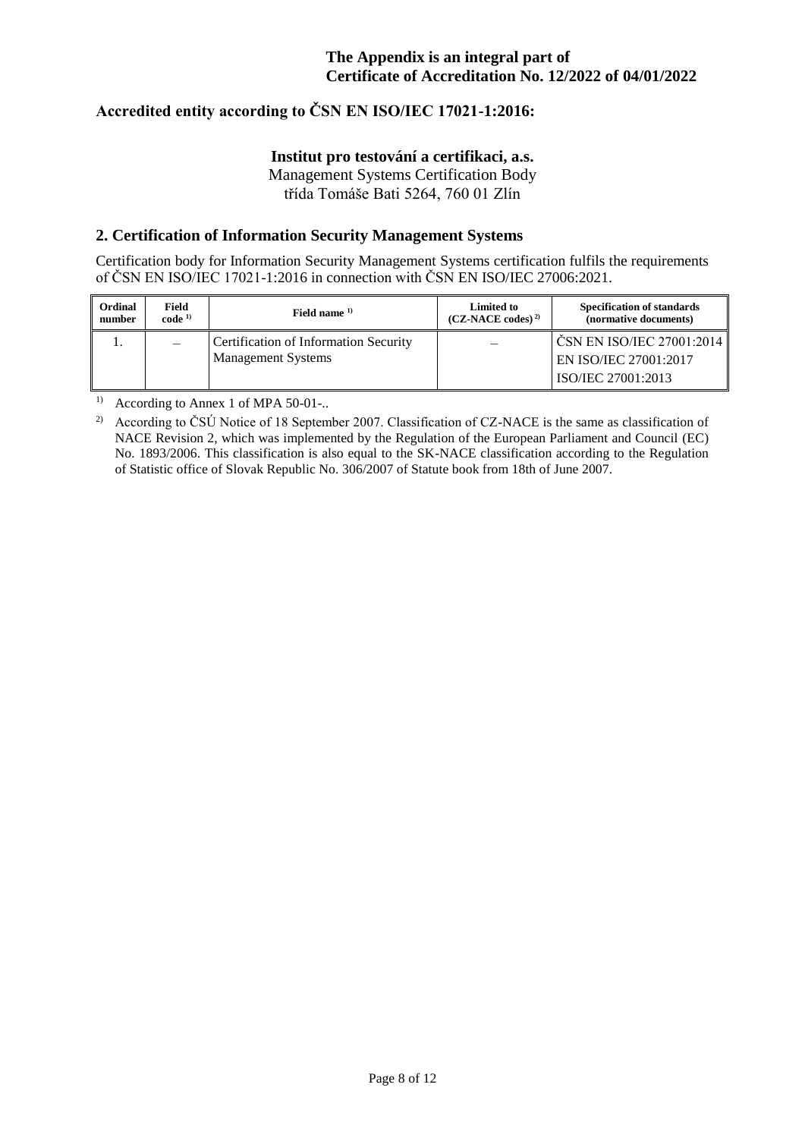## **Institut pro testování a certifikaci, a.s.** Management Systems Certification Body

třída Tomáše Bati 5264, 760 01 Zlín

#### **2. Certification of Information Security Management Systems**

Certification body for Information Security Management Systems certification fulfils the requirements of ČSN EN ISO/IEC 17021-1:2016 in connection with ČSN EN ISO/IEC 27006:2021.

| Ordinal | Field      | Field name $1$                                                     | <b>Limited to</b>     | <b>Specification of standards</b>                                        |
|---------|------------|--------------------------------------------------------------------|-----------------------|--------------------------------------------------------------------------|
| number  | $code^{1}$ |                                                                    | $(CZ-NACE codes)^{2}$ | (normative documents)                                                    |
|         |            | Certification of Information Security<br><b>Management Systems</b> |                       | ČSN EN ISO/IEC 27001:2014<br>EN ISO/IEC 27001:2017<br>ISO/IEC 27001:2013 |

<sup>1)</sup> According to Annex 1 of MPA 50-01-..

<sup>&</sup>lt;sup>2)</sup> According to ČSÚ Notice of 18 September 2007. Classification of CZ-NACE is the same as classification of NACE Revision 2, which was implemented by the Regulation of the European Parliament and Council (EC) No. 1893/2006. This classification is also equal to the SK-NACE classification according to the Regulation of Statistic office of Slovak Republic No. 306/2007 of Statute book from 18th of June 2007.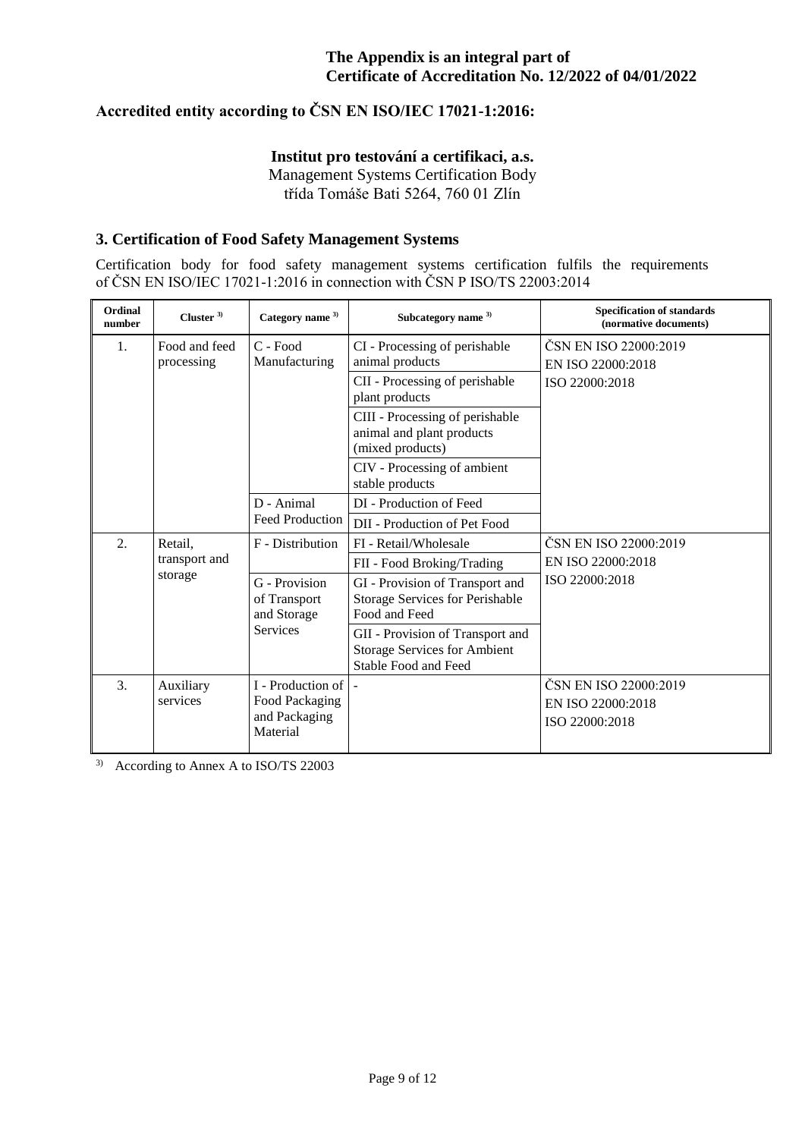## **Institut pro testování a certifikaci, a.s.**

Management Systems Certification Body třída Tomáše Bati 5264, 760 01 Zlín

## **3. Certification of Food Safety Management Systems**

Certification body for food safety management systems certification fulfils the requirements of ČSN EN ISO/IEC 17021-1:2016 in connection with ČSN P ISO/TS 22003:2014

| Ordinal<br>number | Cluster $3)$                | Category name <sup>3)</sup>                                      | Subcategory name 3)                                                                                    | <b>Specification of standards</b><br>(normative documents)   |
|-------------------|-----------------------------|------------------------------------------------------------------|--------------------------------------------------------------------------------------------------------|--------------------------------------------------------------|
| 1.                | Food and feed<br>processing | $C - Food$<br>Manufacturing                                      | CI - Processing of perishable<br>animal products                                                       | ČSN EN ISO 22000:2019<br>EN ISO 22000:2018                   |
|                   |                             |                                                                  | CII - Processing of perishable<br>plant products                                                       | ISO 22000:2018                                               |
|                   |                             |                                                                  | CIII - Processing of perishable<br>animal and plant products<br>(mixed products)                       |                                                              |
|                   |                             |                                                                  | CIV - Processing of ambient<br>stable products                                                         |                                                              |
|                   |                             | D - Animal                                                       | DI - Production of Feed                                                                                |                                                              |
|                   |                             | <b>Feed Production</b>                                           | DII - Production of Pet Food                                                                           |                                                              |
| 2.                | Retail.                     | F - Distribution                                                 | FI - Retail/Wholesale                                                                                  | ČSN EN ISO 22000:2019                                        |
|                   | transport and               |                                                                  | FII - Food Broking/Trading                                                                             | EN ISO 22000:2018                                            |
|                   | storage                     | G - Provision<br>of Transport<br>and Storage                     | GI - Provision of Transport and<br>Storage Services for Perishable<br>Food and Feed                    | ISO 22000:2018                                               |
|                   |                             | <b>Services</b>                                                  | GII - Provision of Transport and<br><b>Storage Services for Ambient</b><br><b>Stable Food and Feed</b> |                                                              |
| 3.                | Auxiliary<br>services       | I - Production of<br>Food Packaging<br>and Packaging<br>Material | ÷,                                                                                                     | ČSN EN ISO 22000:2019<br>EN ISO 22000:2018<br>ISO 22000:2018 |

3) According to Annex A to ISO/TS 22003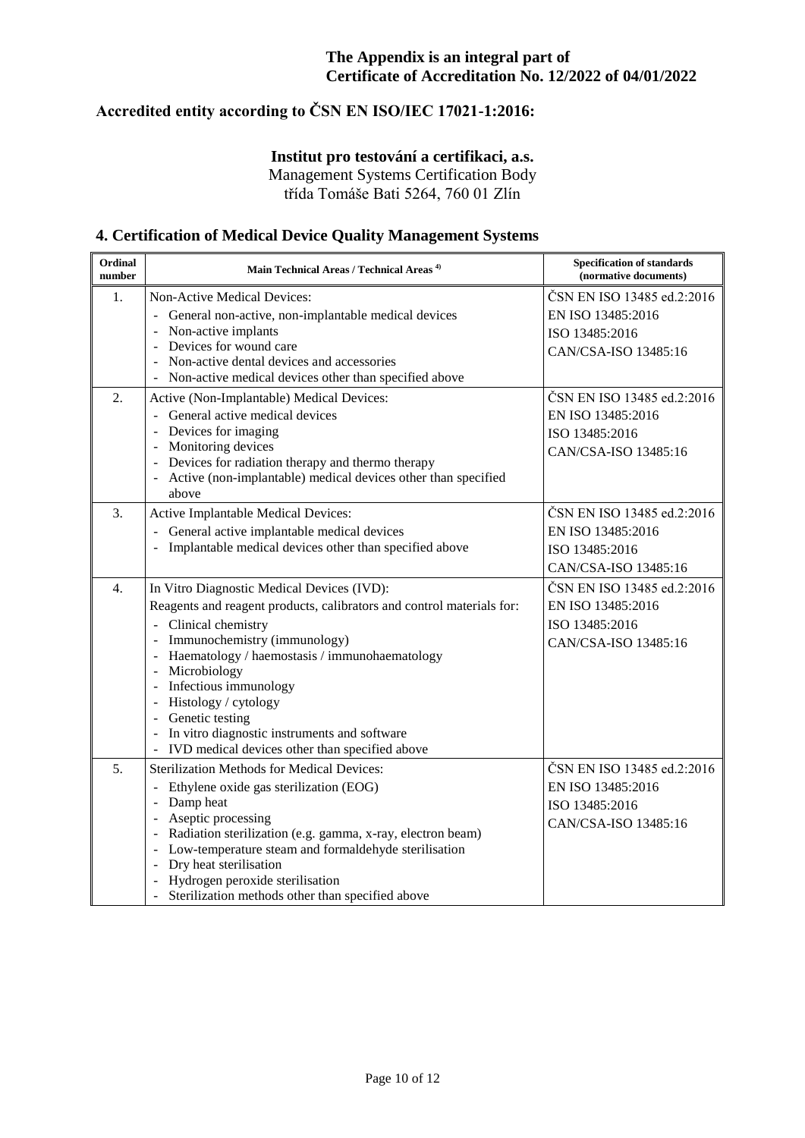**Institut pro testování a certifikaci, a.s.** Management Systems Certification Body třída Tomáše Bati 5264, 760 01 Zlín

## **4. Certification of Medical Device Quality Management Systems**

| Ordinal<br>number | Main Technical Areas / Technical Areas <sup>4)</sup>                                                                                                                                                                                                                                                                                                                                                                             | <b>Specification of standards</b><br>(normative documents)                                |
|-------------------|----------------------------------------------------------------------------------------------------------------------------------------------------------------------------------------------------------------------------------------------------------------------------------------------------------------------------------------------------------------------------------------------------------------------------------|-------------------------------------------------------------------------------------------|
| 1.                | Non-Active Medical Devices:<br>General non-active, non-implantable medical devices<br>- Non-active implants<br>- Devices for wound care<br>- Non-active dental devices and accessories<br>Non-active medical devices other than specified above                                                                                                                                                                                  | ČSN EN ISO 13485 ed.2:2016<br>EN ISO 13485:2016<br>ISO 13485:2016<br>CAN/CSA-ISO 13485:16 |
| 2.                | Active (Non-Implantable) Medical Devices:<br>General active medical devices<br>$\omega$ .<br>- Devices for imaging<br>- Monitoring devices<br>- Devices for radiation therapy and thermo therapy<br>Active (non-implantable) medical devices other than specified<br>above                                                                                                                                                       | ČSN EN ISO 13485 ed.2:2016<br>EN ISO 13485:2016<br>ISO 13485:2016<br>CAN/CSA-ISO 13485:16 |
| 3.                | Active Implantable Medical Devices:<br>- General active implantable medical devices<br>Implantable medical devices other than specified above<br>$\mathbb{Z}^{\mathbb{Z}}$                                                                                                                                                                                                                                                       | ČSN EN ISO 13485 ed.2:2016<br>EN ISO 13485:2016<br>ISO 13485:2016<br>CAN/CSA-ISO 13485:16 |
| 4.                | In Vitro Diagnostic Medical Devices (IVD):<br>Reagents and reagent products, calibrators and control materials for:<br>- Clinical chemistry<br>- Immunochemistry (immunology)<br>- Haematology / haemostasis / immunohaematology<br>- Microbiology<br>- Infectious immunology<br>- Histology / cytology<br>- Genetic testing<br>- In vitro diagnostic instruments and software<br>IVD medical devices other than specified above | ČSN EN ISO 13485 ed.2:2016<br>EN ISO 13485:2016<br>ISO 13485:2016<br>CAN/CSA-ISO 13485:16 |
| 5.                | <b>Sterilization Methods for Medical Devices:</b><br>- Ethylene oxide gas sterilization (EOG)<br>- Damp heat<br>- Aseptic processing<br>- Radiation sterilization (e.g. gamma, x-ray, electron beam)<br>- Low-temperature steam and formaldehyde sterilisation<br>- Dry heat sterilisation<br>- Hydrogen peroxide sterilisation<br>Sterilization methods other than specified above<br>$\sim$                                    | ČSN EN ISO 13485 ed.2:2016<br>EN ISO 13485:2016<br>ISO 13485:2016<br>CAN/CSA-ISO 13485:16 |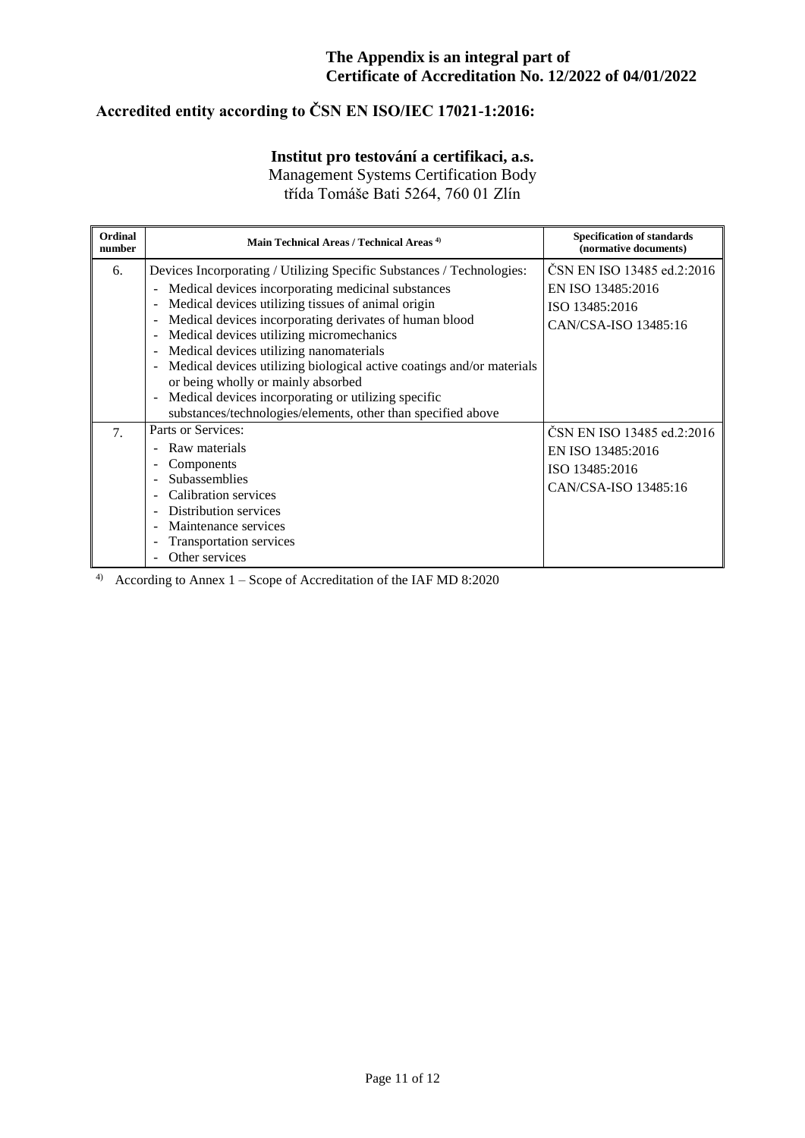# **Accredited entity according to ČSN EN ISO/IEC 17021-1:2016:**

# **Institut pro testování a certifikaci, a.s.** Management Systems Certification Body

třída Tomáše Bati 5264, 760 01 Zlín

| Ordinal<br>number | Main Technical Areas / Technical Areas <sup>4)</sup>                                                                                                                                                                                                                                                                                                                                                                                                                                                                                                                                                                                                                                                                                 | <b>Specification of standards</b><br>(normative documents)                                |
|-------------------|--------------------------------------------------------------------------------------------------------------------------------------------------------------------------------------------------------------------------------------------------------------------------------------------------------------------------------------------------------------------------------------------------------------------------------------------------------------------------------------------------------------------------------------------------------------------------------------------------------------------------------------------------------------------------------------------------------------------------------------|-------------------------------------------------------------------------------------------|
| 6.                | Devices Incorporating / Utilizing Specific Substances / Technologies:<br>Medical devices incorporating medicinal substances<br>$\blacksquare$<br>Medical devices utilizing tissues of animal origin<br>$\blacksquare$<br>Medical devices incorporating derivates of human blood<br>$\overline{\phantom{a}}$<br>Medical devices utilizing micromechanics<br>$\overline{\phantom{a}}$<br>Medical devices utilizing nanomaterials<br>$\blacksquare$<br>Medical devices utilizing biological active coatings and/or materials<br>$\blacksquare$<br>or being wholly or mainly absorbed<br>Medical devices incorporating or utilizing specific<br>$\overline{\phantom{m}}$<br>substances/technologies/elements, other than specified above | ČSN EN ISO 13485 ed.2:2016<br>EN ISO 13485:2016<br>ISO 13485:2016<br>CAN/CSA-ISO 13485:16 |
| 7 <sub>1</sub>    | Parts or Services:<br>Raw materials<br>Components<br><b>Subassemblies</b><br>Calibration services<br>Distribution services<br>Maintenance services<br><b>Transportation services</b><br>Other services                                                                                                                                                                                                                                                                                                                                                                                                                                                                                                                               | ČSN EN ISO 13485 ed.2:2016<br>EN ISO 13485:2016<br>ISO 13485:2016<br>CAN/CSA-ISO 13485:16 |

4) According to Annex 1 – Scope of Accreditation of the IAF MD 8:2020